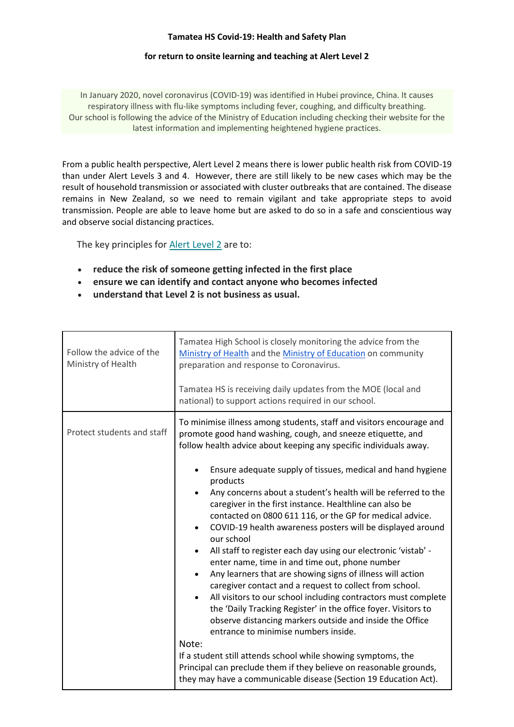## **Tamatea HS Covid-19: Health and Safety Plan**

## **for return to onsite learning and teaching at Alert Level 2**

In January 2020, novel coronavirus (COVID-19) was identified in Hubei province, China. It causes respiratory illness with flu-like symptoms including fever, coughing, and difficulty breathing. Our school is following the advice of the Ministry of Education including checking their website for the latest information and implementing heightened hygiene practices.

From a public health perspective, Alert Level 2 means there is lower public health risk from COVID-19 than under Alert Levels 3 and 4. However, there are still likely to be new cases which may be the result of household transmission or associated with cluster outbreaks that are contained. The disease remains in New Zealand, so we need to remain vigilant and take appropriate steps to avoid transmission. People are able to leave home but are asked to do so in a safe and conscientious way and observe social distancing practices.

The key principles for [Alert Level 2](https://covid19.govt.nz/alert-system/alert-level-2/) are to:

- **reduce the risk of someone getting infected in the first place**
- **ensure we can identify and contact anyone who becomes infected**
- **understand that Level 2 is not business as usual.**

| Follow the advice of the<br>Ministry of Health | Tamatea High School is closely monitoring the advice from the<br>Ministry of Health and the Ministry of Education on community<br>preparation and response to Coronavirus.<br>Tamatea HS is receiving daily updates from the MOE (local and<br>national) to support actions required in our school.                                                                                                                                                                                                                                                                                                                                                                                                                                                                                                                                                                                                                                                                                                                                                                                                                                                                                                       |
|------------------------------------------------|-----------------------------------------------------------------------------------------------------------------------------------------------------------------------------------------------------------------------------------------------------------------------------------------------------------------------------------------------------------------------------------------------------------------------------------------------------------------------------------------------------------------------------------------------------------------------------------------------------------------------------------------------------------------------------------------------------------------------------------------------------------------------------------------------------------------------------------------------------------------------------------------------------------------------------------------------------------------------------------------------------------------------------------------------------------------------------------------------------------------------------------------------------------------------------------------------------------|
| Protect students and staff                     | To minimise illness among students, staff and visitors encourage and<br>promote good hand washing, cough, and sneeze etiquette, and<br>follow health advice about keeping any specific individuals away.<br>Ensure adequate supply of tissues, medical and hand hygiene<br>products<br>Any concerns about a student's health will be referred to the<br>caregiver in the first instance. Healthline can also be<br>contacted on 0800 611 116, or the GP for medical advice.<br>COVID-19 health awareness posters will be displayed around<br>our school<br>All staff to register each day using our electronic 'vistab' -<br>enter name, time in and time out, phone number<br>Any learners that are showing signs of illness will action<br>caregiver contact and a request to collect from school.<br>All visitors to our school including contractors must complete<br>$\bullet$<br>the 'Daily Tracking Register' in the office foyer. Visitors to<br>observe distancing markers outside and inside the Office<br>entrance to minimise numbers inside.<br>Note:<br>If a student still attends school while showing symptoms, the<br>Principal can preclude them if they believe on reasonable grounds, |
|                                                | they may have a communicable disease (Section 19 Education Act).                                                                                                                                                                                                                                                                                                                                                                                                                                                                                                                                                                                                                                                                                                                                                                                                                                                                                                                                                                                                                                                                                                                                          |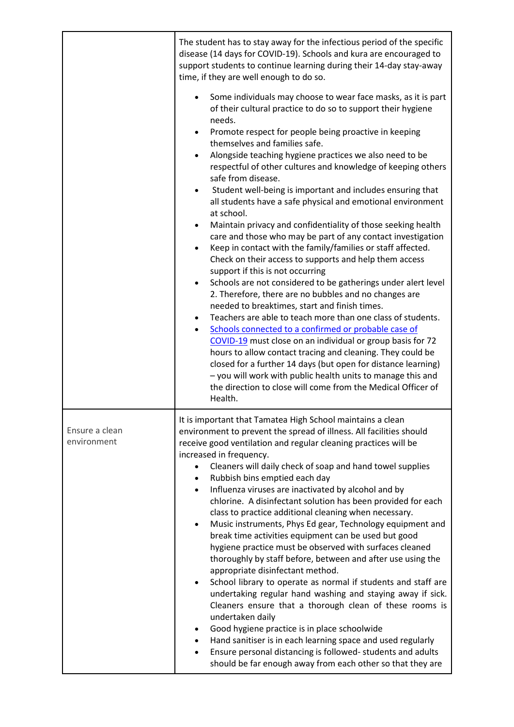|                               | The student has to stay away for the infectious period of the specific<br>disease (14 days for COVID-19). Schools and kura are encouraged to<br>support students to continue learning during their 14-day stay-away<br>time, if they are well enough to do so.                                                                                                                                                                                                                                                                                                                                                                                                                                                                                                                                                                                                                                                                                                                                                                                                                                                                                                                                                                                                                                                                                                                                                                                                                                                           |
|-------------------------------|--------------------------------------------------------------------------------------------------------------------------------------------------------------------------------------------------------------------------------------------------------------------------------------------------------------------------------------------------------------------------------------------------------------------------------------------------------------------------------------------------------------------------------------------------------------------------------------------------------------------------------------------------------------------------------------------------------------------------------------------------------------------------------------------------------------------------------------------------------------------------------------------------------------------------------------------------------------------------------------------------------------------------------------------------------------------------------------------------------------------------------------------------------------------------------------------------------------------------------------------------------------------------------------------------------------------------------------------------------------------------------------------------------------------------------------------------------------------------------------------------------------------------|
|                               | Some individuals may choose to wear face masks, as it is part<br>of their cultural practice to do so to support their hygiene<br>needs.<br>Promote respect for people being proactive in keeping<br>$\bullet$<br>themselves and families safe.<br>Alongside teaching hygiene practices we also need to be<br>$\bullet$<br>respectful of other cultures and knowledge of keeping others<br>safe from disease.<br>Student well-being is important and includes ensuring that<br>٠<br>all students have a safe physical and emotional environment<br>at school.<br>Maintain privacy and confidentiality of those seeking health<br>٠<br>care and those who may be part of any contact investigation<br>Keep in contact with the family/families or staff affected.<br>$\bullet$<br>Check on their access to supports and help them access<br>support if this is not occurring<br>Schools are not considered to be gatherings under alert level<br>٠<br>2. Therefore, there are no bubbles and no changes are<br>needed to breaktimes, start and finish times.<br>Teachers are able to teach more than one class of students.<br>Schools connected to a confirmed or probable case of<br>COVID-19 must close on an individual or group basis for 72<br>hours to allow contact tracing and cleaning. They could be<br>closed for a further 14 days (but open for distance learning)<br>- you will work with public health units to manage this and<br>the direction to close will come from the Medical Officer of<br>Health. |
| Ensure a clean<br>environment | It is important that Tamatea High School maintains a clean<br>environment to prevent the spread of illness. All facilities should<br>receive good ventilation and regular cleaning practices will be<br>increased in frequency.<br>Cleaners will daily check of soap and hand towel supplies<br>Rubbish bins emptied each day<br>Influenza viruses are inactivated by alcohol and by<br>$\bullet$<br>chlorine. A disinfectant solution has been provided for each<br>class to practice additional cleaning when necessary.<br>Music instruments, Phys Ed gear, Technology equipment and<br>$\bullet$<br>break time activities equipment can be used but good<br>hygiene practice must be observed with surfaces cleaned<br>thoroughly by staff before, between and after use using the<br>appropriate disinfectant method.<br>School library to operate as normal if students and staff are<br>٠<br>undertaking regular hand washing and staying away if sick.<br>Cleaners ensure that a thorough clean of these rooms is<br>undertaken daily<br>Good hygiene practice is in place schoolwide<br>Hand sanitiser is in each learning space and used regularly<br>Ensure personal distancing is followed-students and adults<br>should be far enough away from each other so that they are                                                                                                                                                                                                                                 |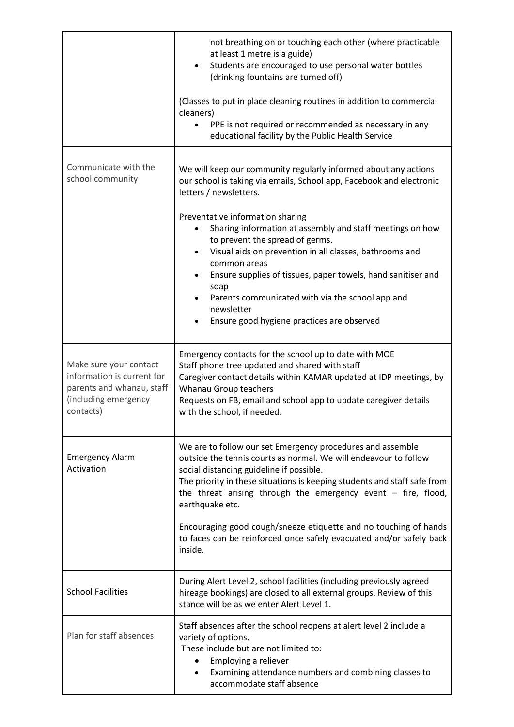|                                                                                                                        | not breathing on or touching each other (where practicable<br>at least 1 metre is a guide)<br>Students are encouraged to use personal water bottles<br>(drinking fountains are turned off)                                                                                                                                                   |
|------------------------------------------------------------------------------------------------------------------------|----------------------------------------------------------------------------------------------------------------------------------------------------------------------------------------------------------------------------------------------------------------------------------------------------------------------------------------------|
|                                                                                                                        | (Classes to put in place cleaning routines in addition to commercial<br>cleaners)                                                                                                                                                                                                                                                            |
|                                                                                                                        | PPE is not required or recommended as necessary in any<br>educational facility by the Public Health Service                                                                                                                                                                                                                                  |
| Communicate with the<br>school community                                                                               | We will keep our community regularly informed about any actions<br>our school is taking via emails, School app, Facebook and electronic<br>letters / newsletters.                                                                                                                                                                            |
|                                                                                                                        | Preventative information sharing<br>Sharing information at assembly and staff meetings on how<br>to prevent the spread of germs.<br>Visual aids on prevention in all classes, bathrooms and<br>common areas                                                                                                                                  |
|                                                                                                                        | Ensure supplies of tissues, paper towels, hand sanitiser and<br>soap<br>Parents communicated with via the school app and<br>newsletter                                                                                                                                                                                                       |
|                                                                                                                        | Ensure good hygiene practices are observed                                                                                                                                                                                                                                                                                                   |
| Make sure your contact<br>information is current for<br>parents and whanau, staff<br>(including emergency<br>contacts) | Emergency contacts for the school up to date with MOE<br>Staff phone tree updated and shared with staff<br>Caregiver contact details within KAMAR updated at IDP meetings, by<br>Whanau Group teachers<br>Requests on FB, email and school app to update caregiver details<br>with the school, if needed.                                    |
| <b>Emergency Alarm</b><br>Activation                                                                                   | We are to follow our set Emergency procedures and assemble<br>outside the tennis courts as normal. We will endeavour to follow<br>social distancing guideline if possible.<br>The priority in these situations is keeping students and staff safe from<br>the threat arising through the emergency event $-$ fire, flood,<br>earthquake etc. |
|                                                                                                                        | Encouraging good cough/sneeze etiquette and no touching of hands<br>to faces can be reinforced once safely evacuated and/or safely back<br>inside.                                                                                                                                                                                           |
| <b>School Facilities</b>                                                                                               | During Alert Level 2, school facilities (including previously agreed<br>hireage bookings) are closed to all external groups. Review of this<br>stance will be as we enter Alert Level 1.                                                                                                                                                     |
| Plan for staff absences                                                                                                | Staff absences after the school reopens at alert level 2 include a<br>variety of options.<br>These include but are not limited to:<br>Employing a reliever<br>Examining attendance numbers and combining classes to<br>accommodate staff absence                                                                                             |